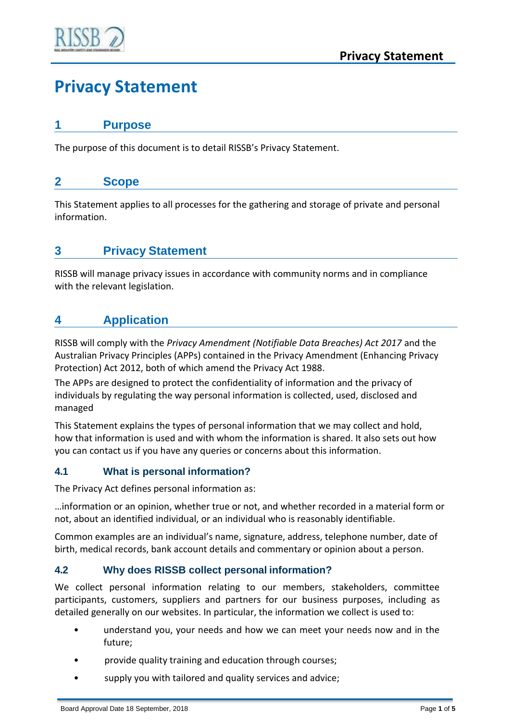

# **Privacy Statement**

#### **1 Purpose**

The purpose of this document is to detail RISSB's Privacy Statement.

## **2 Scope**

This Statement applies to all processes for the gathering and storage of private and personal information.

# **3 Privacy Statement**

RISSB will manage privacy issues in accordance with community norms and in compliance with the relevant legislation.

# **4 Application**

RISSB will comply with the *Privacy Amendment (Notifiable Data Breaches) Act 2017* and the Australian Privacy Principles (APPs) contained in the Privacy Amendment (Enhancing Privacy Protection) Act 2012, both of which amend the Privacy Act 1988.

The APPs are designed to protect the confidentiality of information and the privacy of individuals by regulating the way personal information is collected, used, disclosed and managed

This Statement explains the types of personal information that we may collect and hold, how that information is used and with whom the information is shared. It also sets out how you can contact us if you have any queries or concerns about this information.

#### **4.1 What is personal information?**

The Privacy Act defines personal information as:

…information or an opinion, whether true or not, and whether recorded in a material form or not, about an identified individual, or an individual who is reasonably identifiable.

Common examples are an individual's name, signature, address, telephone number, date of birth, medical records, bank account details and commentary or opinion about a person.

#### **4.2 Why does RISSB collect personal information?**

We collect personal information relating to our members, stakeholders, committee participants, customers, suppliers and partners for our business purposes, including as detailed generally on our websites. In particular, the information we collect is used to:

- understand you, your needs and how we can meet your needs now and in the future;
- provide quality training and education through courses;
- supply you with tailored and quality services and advice;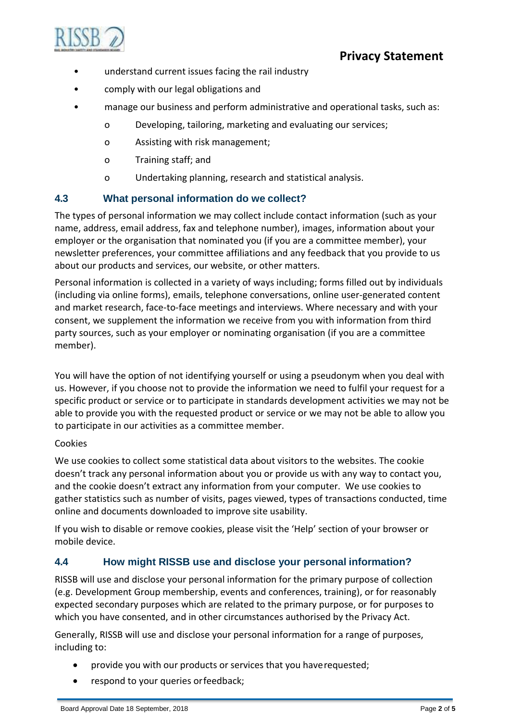

- understand current issues facing the rail industry
- comply with our legal obligations and
- manage our business and perform administrative and operational tasks, such as:
	- o Developing, tailoring, marketing and evaluating our services;
	- o Assisting with risk management;
	- o Training staff; and
	- o Undertaking planning, research and statistical analysis.

## **4.3 What personal information do we collect?**

The types of personal information we may collect include contact information (such as your name, address, email address, fax and telephone number), images, information about your employer or the organisation that nominated you (if you are a committee member), your newsletter preferences, your committee affiliations and any feedback that you provide to us about our products and services, our website, or other matters.

Personal information is collected in a variety of ways including; forms filled out by individuals (including via online forms), emails, telephone conversations, online user-generated content and market research, face-to-face meetings and interviews. Where necessary and with your consent, we supplement the information we receive from you with information from third party sources, such as your employer or nominating organisation (if you are a committee member).

You will have the option of not identifying yourself or using a pseudonym when you deal with us. However, if you choose not to provide the information we need to fulfil your request for a specific product or service or to participate in standards development activities we may not be able to provide you with the requested product or service or we may not be able to allow you to participate in our activities as a committee member.

#### Cookies

We use cookies to collect some statistical data about visitors to the websites. The cookie doesn't track any personal information about you or provide us with any way to contact you, and the cookie doesn't extract any information from your computer. We use cookies to gather statistics such as number of visits, pages viewed, types of transactions conducted, time online and documents downloaded to improve site usability.

If you wish to disable or remove cookies, please visit the 'Help' section of your browser or mobile device.

## **4.4 How might RISSB use and disclose your personal information?**

RISSB will use and disclose your personal information for the primary purpose of collection (e.g. Development Group membership, events and conferences, training), or for reasonably expected secondary purposes which are related to the primary purpose, or for purposes to which you have consented, and in other circumstances authorised by the Privacy Act.

Generally, RISSB will use and disclose your personal information for a range of purposes, including to:

- provide you with our products or services that you haverequested;
- respond to your queries orfeedback;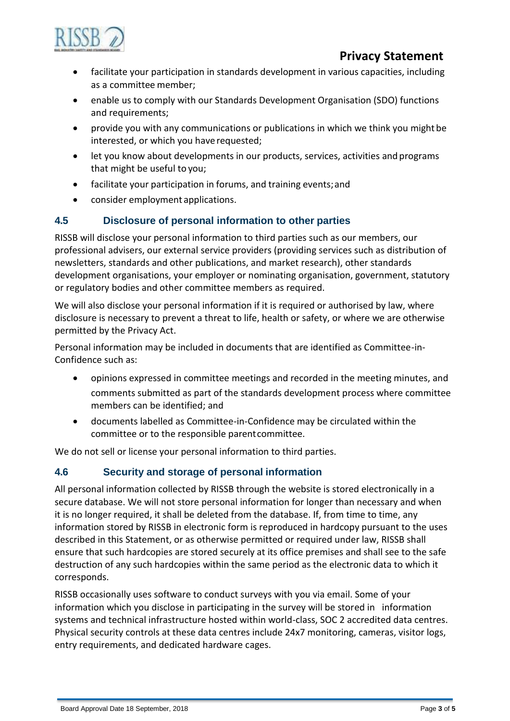

# **Privacy Statement**

- facilitate your participation in standards development in various capacities, including as a committee member;
- enable us to comply with our Standards Development Organisation (SDO) functions and requirements;
- provide you with any communications or publications in which we think you might be interested, or which you have requested;
- let you know about developments in our products, services, activities and programs that might be useful to you;
- facilitate your participation in forums, and training events;and
- consider employment applications.

#### **4.5 Disclosure of personal information to other parties**

RISSB will disclose your personal information to third parties such as our members, our professional advisers, our external service providers (providing services such as distribution of newsletters, standards and other publications, and market research), other standards development organisations, your employer or nominating organisation, government, statutory or regulatory bodies and other committee members as required.

We will also disclose your personal information if it is required or authorised by law, where disclosure is necessary to prevent a threat to life, health or safety, or where we are otherwise permitted by the Privacy Act.

Personal information may be included in documents that are identified as Committee-in-Confidence such as:

- opinions expressed in committee meetings and recorded in the meeting minutes, and comments submitted as part of the standards development process where committee members can be identified; and
- documents labelled as Committee-in-Confidence may be circulated within the committee or to the responsible parentcommittee.

We do not sell or license your personal information to third parties.

#### **4.6 Security and storage of personal information**

All personal information collected by RISSB through the website is stored electronically in a secure database. We will not store personal information for longer than necessary and when it is no longer required, it shall be deleted from the database. If, from time to time, any information stored by RISSB in electronic form is reproduced in hardcopy pursuant to the uses described in this Statement, or as otherwise permitted or required under law, RISSB shall ensure that such hardcopies are stored securely at its office premises and shall see to the safe destruction of any such hardcopies within the same period as the electronic data to which it corresponds.

RISSB occasionally uses software to conduct surveys with you via email. Some of your information which you disclose in participating in the survey will be stored in information systems and technical infrastructure hosted within world-class, SOC 2 accredited data centres. Physical security controls at these data centres include 24x7 monitoring, cameras, visitor logs, entry requirements, and dedicated hardware cages.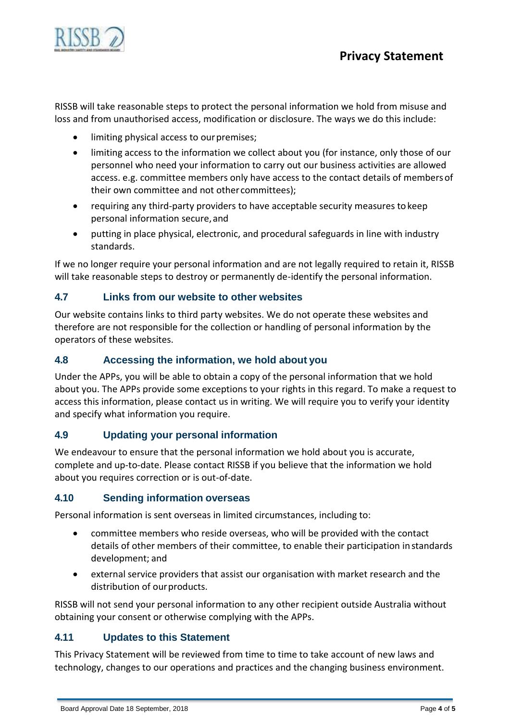

RISSB will take reasonable steps to protect the personal information we hold from misuse and loss and from unauthorised access, modification or disclosure. The ways we do this include:

- limiting physical access to our premises;
- limiting access to the information we collect about you (for instance, only those of our personnel who need your information to carry out our business activities are allowed access. e.g. committee members only have access to the contact details of membersof their own committee and not other committees);
- requiring any third-party providers to have acceptable security measures tokeep personal information secure,and
- putting in place physical, electronic, and procedural safeguards in line with industry standards.

If we no longer require your personal information and are not legally required to retain it, RISSB will take reasonable steps to destroy or permanently de-identify the personal information.

#### **4.7 Links from our website to other websites**

Our website contains links to third party websites. We do not operate these websites and therefore are not responsible for the collection or handling of personal information by the operators of these websites.

#### **4.8 Accessing the information, we hold about you**

Under the APPs, you will be able to obtain a copy of the personal information that we hold about you. The APPs provide some exceptions to your rights in this regard. To make a request to access this information, please contact us in writing. We will require you to verify your identity and specify what information you require.

#### **4.9 Updating your personal information**

We endeavour to ensure that the personal information we hold about you is accurate, complete and up-to-date. Please contact RISSB if you believe that the information we hold about you requires correction or is out-of-date.

#### **4.10 Sending information overseas**

Personal information is sent overseas in limited circumstances, including to:

- committee members who reside overseas, who will be provided with the contact details of other members of their committee, to enable their participation instandards development; and
- external service providers that assist our organisation with market research and the distribution of ourproducts.

RISSB will not send your personal information to any other recipient outside Australia without obtaining your consent or otherwise complying with the APPs.

#### **4.11 Updates to this Statement**

This Privacy Statement will be reviewed from time to time to take account of new laws and technology, changes to our operations and practices and the changing business environment.